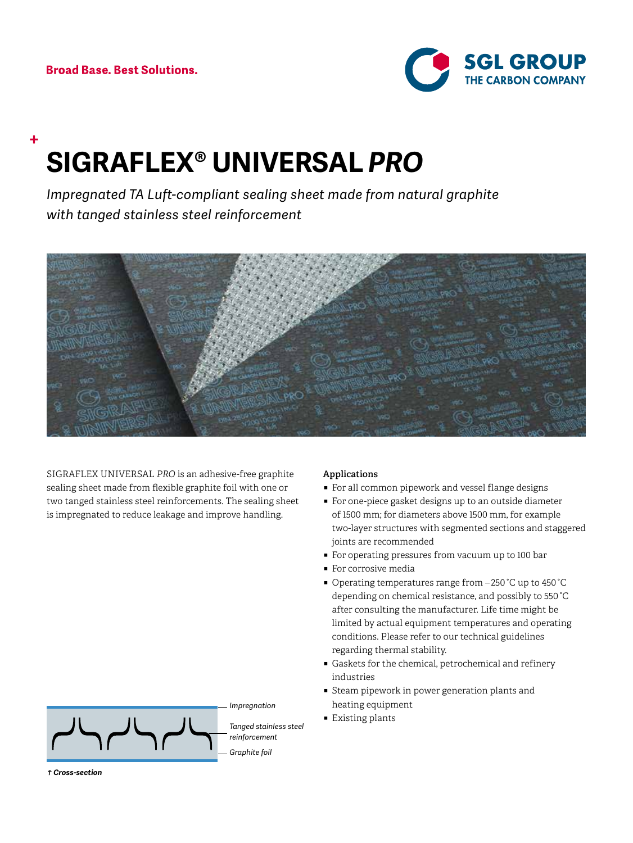

# **SIGRAFLEX® UNIVERSAL** *PRO*

*Impregnated TA Luft-compliant sealing sheet made from natural graphite with tanged stainless steel reinforcement*



SIGRAFLEX UNIVERSAL *PRO* is an adhesive-free graphite sealing sheet made from flexible graphite foil with one or two tanged stainless steel reinforcements. The sealing sheet is impregnated to reduce leakage and improve handling.



# **Applications**

- For all common pipework and vessel flange designs
- For one-piece gasket designs up to an outside diameter of 1500 mm; for diameters above 1500 mm, for example two-layer structures with segmented sections and staggered joints are recommended
- For operating pressures from vacuum up to 100 bar
- For corrosive media
- Operating temperatures range from -250 °C up to 450 °C depending on chemical resistance, and possibly to 550 °C after consulting the manufacturer. Life time might be limited by actual equipment temperatures and operating conditions. Please refer to our technical guidelines regarding thermal stability.
- ̃ Gaskets for the chemical, petrochemical and refinery industries
- Steam pipework in power generation plants and heating equipment
- Existing plants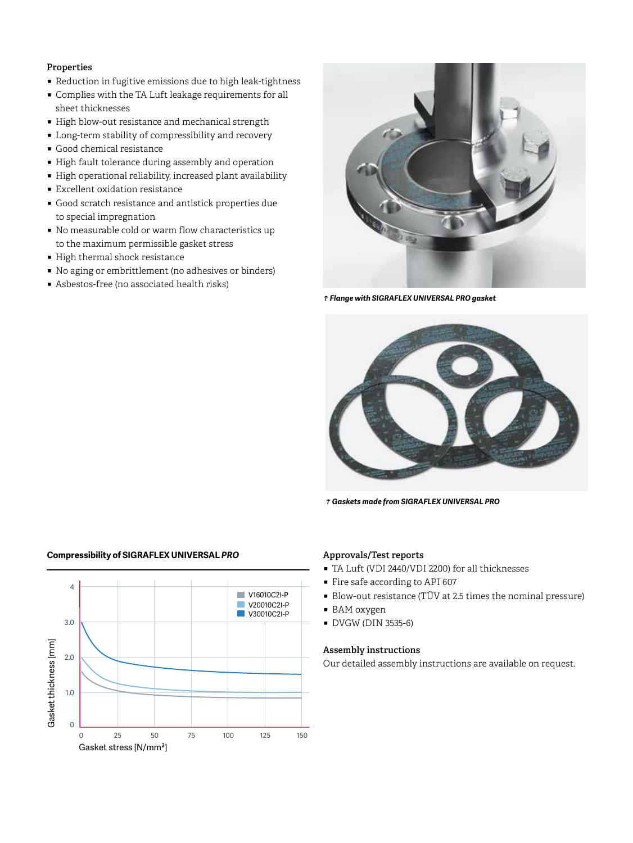# **Properties**

- Reduction in fugitive emissions due to high leak-tightness
- ̃ Complies with the TA Luft leakage requirements for all sheet thicknesses
- High blow-out resistance and mechanical strength
- Long-term stability of compressibility and recovery
- Good chemical resistance
- High fault tolerance during assembly and operation
- High operational reliability, increased plant availability
- Excellent oxidation resistance
- Good scratch resistance and antistick properties due to special impregnation
- No measurable cold or warm flow characteristics up to the maximum permissible gasket stress
- High thermal shock resistance
- No aging or embrittlement (no adhesives or binders)
- Asbestos-free (no associated health risks)



*c Flange with SIGRAFLEX UNIVERSAL PRO gasket*



*c Gaskets made from SIGRAFLEX UNIVERSAL PRO*



### **Approvals/Test reports**

- TA Luft (VDI 2440/VDI 2200) for all thicknesses
- Fire safe according to API 607
- Blow-out resistance (TÜV at 2.5 times the nominal pressure)
- BAM oxygen
- ̃ DVGW (DIN 3535-6)

### **Assembly instructions**

Our detailed assembly instructions are available on request.

# **Compressibility of SIGRAFLEX UNIVERSAL** *PRO*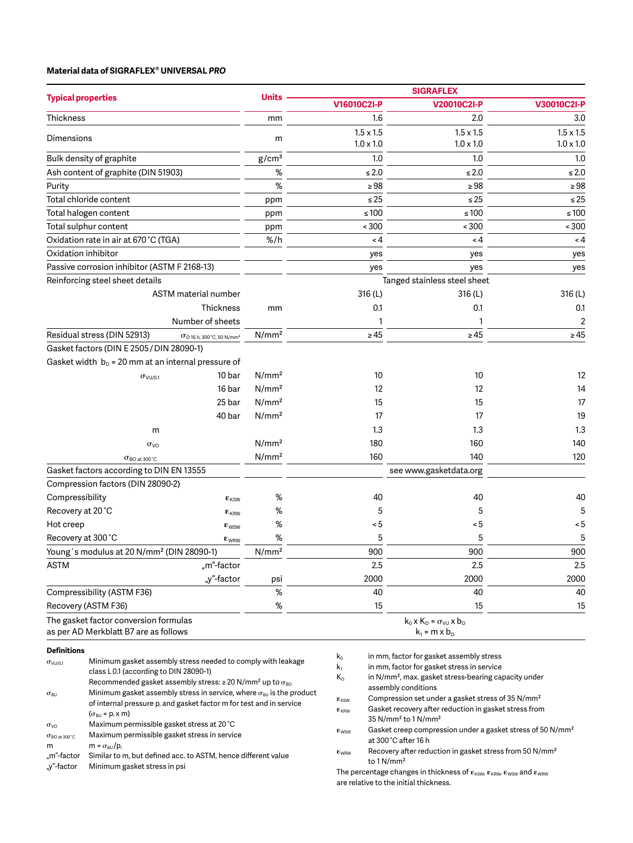## **Material data of SIGRAFLEX® UNIVERSAL** *PRO*

"m"-factor Similar to m, but defined acc. to ASTM, hence different value

"y"-factor Minimum gasket stress in psi

|                                                                                                                                                      |                                                                                                                                     |                                                                                 | <b>SIGRAFLEX</b>        |                                                                        |                                                                                                                        |                  |  |
|------------------------------------------------------------------------------------------------------------------------------------------------------|-------------------------------------------------------------------------------------------------------------------------------------|---------------------------------------------------------------------------------|-------------------------|------------------------------------------------------------------------|------------------------------------------------------------------------------------------------------------------------|------------------|--|
|                                                                                                                                                      | <b>Typical properties</b>                                                                                                           |                                                                                 | <b>Units</b>            | V16010C2I-P                                                            | V20010C2I-P                                                                                                            | V30010C2I-P      |  |
| Thickness                                                                                                                                            |                                                                                                                                     |                                                                                 | mm                      | 1.6                                                                    | 2.0                                                                                                                    | 3.0              |  |
| Dimensions                                                                                                                                           |                                                                                                                                     |                                                                                 | m                       | $1.5 \times 1.5$                                                       | $1.5 \times 1.5$                                                                                                       | $1.5 \times 1.5$ |  |
|                                                                                                                                                      |                                                                                                                                     |                                                                                 |                         | $1.0 \times 1.0$                                                       | $1.0 \times 1.0$                                                                                                       | $1.0 \times 1.0$ |  |
|                                                                                                                                                      | Bulk density of graphite                                                                                                            |                                                                                 | g/cm <sup>3</sup>       | 1.0                                                                    | 1.0                                                                                                                    | 1.0              |  |
|                                                                                                                                                      | Ash content of graphite (DIN 51903)                                                                                                 |                                                                                 | $\%$                    | $\leq 2.0$                                                             | $\leq 2.0$                                                                                                             | $\leq 2.0$       |  |
| Purity                                                                                                                                               |                                                                                                                                     |                                                                                 | $\%$                    | $\geq 98$                                                              | $\geq 98$                                                                                                              | $\geq 98$        |  |
| Total chloride content                                                                                                                               |                                                                                                                                     | ppm                                                                             | $\leq 25$               | $\leq 25$                                                              | $\leq 25$                                                                                                              |                  |  |
| Total halogen content                                                                                                                                |                                                                                                                                     | ppm                                                                             | $\leq 100$              | $\leq 100$                                                             | $\leq 100$                                                                                                             |                  |  |
| Total sulphur content                                                                                                                                |                                                                                                                                     |                                                                                 | ppm                     | ~100                                                                   | ~100                                                                                                                   | ~100             |  |
| Oxidation rate in air at 670 °C (TGA)                                                                                                                |                                                                                                                                     | $%$ /h                                                                          | < 4                     | < 4                                                                    | < 4                                                                                                                    |                  |  |
| Oxidation inhibitor                                                                                                                                  |                                                                                                                                     |                                                                                 | yes                     | yes                                                                    | yes                                                                                                                    |                  |  |
|                                                                                                                                                      | Passive corrosion inhibitor (ASTM F 2168-13)                                                                                        |                                                                                 |                         | yes                                                                    | yes                                                                                                                    | yes              |  |
|                                                                                                                                                      | Reinforcing steel sheet details                                                                                                     |                                                                                 |                         |                                                                        | Tanged stainless steel sheet                                                                                           |                  |  |
|                                                                                                                                                      |                                                                                                                                     | <b>ASTM</b> material number                                                     |                         | 316 (L)                                                                | 316(L)                                                                                                                 | 316 (L)          |  |
|                                                                                                                                                      |                                                                                                                                     | Thickness                                                                       | mm                      | 0.1                                                                    | 0.1                                                                                                                    | 0.1              |  |
|                                                                                                                                                      |                                                                                                                                     | Number of sheets                                                                |                         | -1                                                                     | $\mathbf{1}$                                                                                                           | 2                |  |
|                                                                                                                                                      | Residual stress (DIN 52913)                                                                                                         | $\sigma$ D 16 h, 300°C, 50 N/mm <sup>2</sup>                                    | N/mm <sup>2</sup>       | $\geq 45$                                                              | $\geq 45$                                                                                                              | $\geq 45$        |  |
|                                                                                                                                                      | Gasket factors (DIN E 2505 / DIN 28090-1)                                                                                           |                                                                                 |                         |                                                                        |                                                                                                                        |                  |  |
|                                                                                                                                                      | Gasket width $bD = 20$ mm at an internal pressure of                                                                                |                                                                                 |                         |                                                                        |                                                                                                                        |                  |  |
|                                                                                                                                                      | $\sigma_{\rm VU/0.1}$                                                                                                               | 10 bar                                                                          | N/mm <sup>2</sup>       | 10                                                                     | 10                                                                                                                     | 12               |  |
|                                                                                                                                                      |                                                                                                                                     | 16 bar                                                                          | N/mm <sup>2</sup>       | 12                                                                     | 12                                                                                                                     | 14               |  |
|                                                                                                                                                      |                                                                                                                                     | 25 bar                                                                          | N/mm <sup>2</sup>       | 15                                                                     | 15                                                                                                                     | 17               |  |
|                                                                                                                                                      |                                                                                                                                     | 40 bar                                                                          | N/mm <sup>2</sup>       | 17                                                                     | 17                                                                                                                     | 19               |  |
|                                                                                                                                                      | m                                                                                                                                   |                                                                                 |                         | 1.3                                                                    | 1.3                                                                                                                    | 1.3              |  |
|                                                                                                                                                      | $\sigma_{\text{VO}}$                                                                                                                |                                                                                 | N/mm <sup>2</sup>       | 180                                                                    | 160                                                                                                                    | 140              |  |
|                                                                                                                                                      | $\sigma_{\rm BO\,at\,300\,^{\circ}\rm C}$                                                                                           |                                                                                 | N/mm <sup>2</sup>       | 160                                                                    | 140                                                                                                                    | 120              |  |
|                                                                                                                                                      | Gasket factors according to DIN EN 13555                                                                                            |                                                                                 |                         |                                                                        | see www.gasketdata.org                                                                                                 |                  |  |
|                                                                                                                                                      | Compression factors (DIN 28090-2)                                                                                                   |                                                                                 |                         |                                                                        |                                                                                                                        |                  |  |
| Compressibility                                                                                                                                      |                                                                                                                                     | $\epsilon_{\rm KSW}$                                                            | %                       | 40                                                                     | 40                                                                                                                     | 40               |  |
| Recovery at 20°C                                                                                                                                     |                                                                                                                                     | $\epsilon_{KRW}$                                                                | %                       | 5                                                                      | 5                                                                                                                      | 5                |  |
| Hot creep                                                                                                                                            |                                                                                                                                     | $\varepsilon_{\text{WSW}}$                                                      | %                       | $\leq 5$                                                               | $\leq 5$                                                                                                               | ~< 5             |  |
|                                                                                                                                                      | Recovery at 300 °C                                                                                                                  | $\epsilon_{\text{WRW}}$                                                         | %                       | 5                                                                      | 5                                                                                                                      | 5                |  |
|                                                                                                                                                      | Young's modulus at 20 N/mm <sup>2</sup> (DIN 28090-1)                                                                               |                                                                                 | N/mm <sup>2</sup>       | 900                                                                    | 900                                                                                                                    | 900              |  |
| <b>ASTM</b>                                                                                                                                          |                                                                                                                                     | "m"-factor                                                                      |                         | 2.5                                                                    | 2.5                                                                                                                    | 2.5              |  |
|                                                                                                                                                      |                                                                                                                                     | "y"-factor                                                                      | psi                     | 2000                                                                   | 2000                                                                                                                   | 2000             |  |
|                                                                                                                                                      | Compressibility (ASTM F36)                                                                                                          |                                                                                 | $\%$                    | 40                                                                     | 40                                                                                                                     | 40               |  |
|                                                                                                                                                      | Recovery (ASTM F36)                                                                                                                 |                                                                                 | $\%$                    | 15                                                                     | 15                                                                                                                     | 15               |  |
|                                                                                                                                                      | The gasket factor conversion formulas                                                                                               |                                                                                 |                         |                                                                        | $k_0$ x $K_D = \sigma_{VU}$ x $b_D$                                                                                    |                  |  |
| as per AD Merkblatt B7 are as follows                                                                                                                |                                                                                                                                     |                                                                                 |                         |                                                                        | $k_1$ = m x $b_D$                                                                                                      |                  |  |
| <b>Definitions</b>                                                                                                                                   |                                                                                                                                     |                                                                                 |                         |                                                                        |                                                                                                                        |                  |  |
| $\sigma_{\rm VU/0.1}$                                                                                                                                |                                                                                                                                     | Minimum gasket assembly stress needed to comply with leakage                    |                         | $k_0$                                                                  | in mm, factor for gasket assembly stress<br>in mm, factor for gasket stress in service<br>$k_1$                        |                  |  |
|                                                                                                                                                      | class L0.1 (according to DIN 28090-1)<br>Recommended gasket assembly stress: $\geq 20$ N/mm <sup>2</sup> up to $\sigma_{\text{BO}}$ |                                                                                 |                         | $K_{D}$                                                                | in N/mm <sup>2</sup> , max. gasket stress-bearing capacity under                                                       |                  |  |
| $\sigma_{\mathsf{BU}}$                                                                                                                               | Minimum gasket assembly stress in service, where $\sigma_{BU}$ is the product                                                       |                                                                                 |                         |                                                                        | assembly conditions                                                                                                    |                  |  |
|                                                                                                                                                      |                                                                                                                                     | of internal pressure p <sub>i</sub> and gasket factor m for test and in service |                         | $\epsilon_{\text{KSW}}$                                                | Compression set under a gasket stress of 35 N/mm <sup>2</sup><br>Gasket recovery after reduction in gasket stress from |                  |  |
|                                                                                                                                                      | $(\sigma_{BU} = p_i \times m)$                                                                                                      |                                                                                 |                         | $\epsilon_{\text{KRW}}$                                                | 35 N/mm <sup>2</sup> to 1 N/mm <sup>2</sup>                                                                            |                  |  |
| Maximum permissible gasket stress at 20 °C<br>$\sigma_{\rm VO}$<br>Maximum permissible gasket stress in service<br>$\sigma_{BO\,at\,300\,^{\circ}C}$ |                                                                                                                                     |                                                                                 | $\epsilon_{\text{WSW}}$ | Gasket creep compression under a gasket stress of 50 N/mm <sup>2</sup> |                                                                                                                        |                  |  |
| $m = \sigma_{BU}/p_i$<br>m                                                                                                                           |                                                                                                                                     |                                                                                 |                         | at 300 °C after 16 h<br>raduation in gooket atreas from EQ N/mm2       |                                                                                                                        |                  |  |

 $\varepsilon_{\text{WRW}}$  Recovery after reduction in gasket stress from 50 N/mm<sup>2</sup> to 1 N/mm²

The percentage changes in thickness of  $\varepsilon_{\text{\tiny KSW}}\, \varepsilon_{\text{\tiny KRW}}\, \varepsilon_{\text{\tiny WSW}}$  and  $\varepsilon_{\text{\tiny WRW}}$ are relative to the initial thickness.